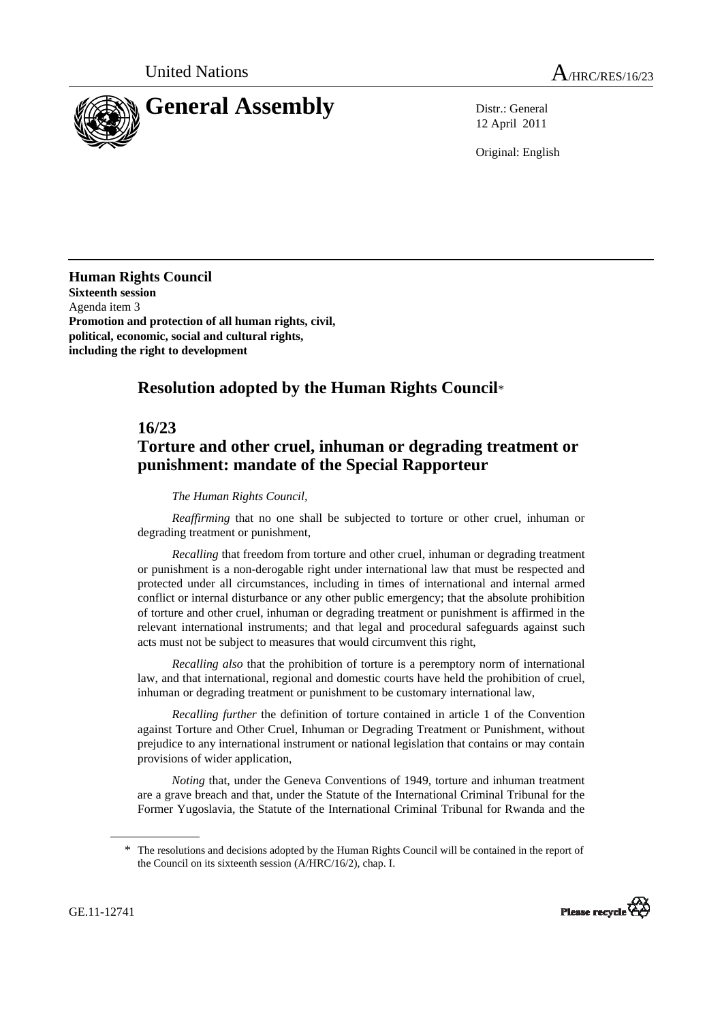

12 April 2011

Original: English

**Human Rights Council Sixteenth session**  Agenda item 3 **Promotion and protection of all human rights, civil, political, economic, social and cultural rights, including the right to development** 

## **Resolution adopted by the Human Rights Council**\*

## **16/23**

## **Torture and other cruel, inhuman or degrading treatment or punishment: mandate of the Special Rapporteur**

## *The Human Rights Council,*

*Reaffirming* that no one shall be subjected to torture or other cruel, inhuman or degrading treatment or punishment,

*Recalling* that freedom from torture and other cruel, inhuman or degrading treatment or punishment is a non-derogable right under international law that must be respected and protected under all circumstances, including in times of international and internal armed conflict or internal disturbance or any other public emergency; that the absolute prohibition of torture and other cruel, inhuman or degrading treatment or punishment is affirmed in the relevant international instruments; and that legal and procedural safeguards against such acts must not be subject to measures that would circumvent this right,

*Recalling also* that the prohibition of torture is a peremptory norm of international law, and that international, regional and domestic courts have held the prohibition of cruel, inhuman or degrading treatment or punishment to be customary international law,

*Recalling further* the definition of torture contained in article 1 of the Convention against Torture and Other Cruel, Inhuman or Degrading Treatment or Punishment, without prejudice to any international instrument or national legislation that contains or may contain provisions of wider application,

*Noting* that, under the Geneva Conventions of 1949, torture and inhuman treatment are a grave breach and that, under the Statute of the International Criminal Tribunal for the Former Yugoslavia, the Statute of the International Criminal Tribunal for Rwanda and the

<sup>\*</sup> The resolutions and decisions adopted by the Human Rights Council will be contained in the report of the Council on its sixteenth session (A/HRC/16/2), chap. I.

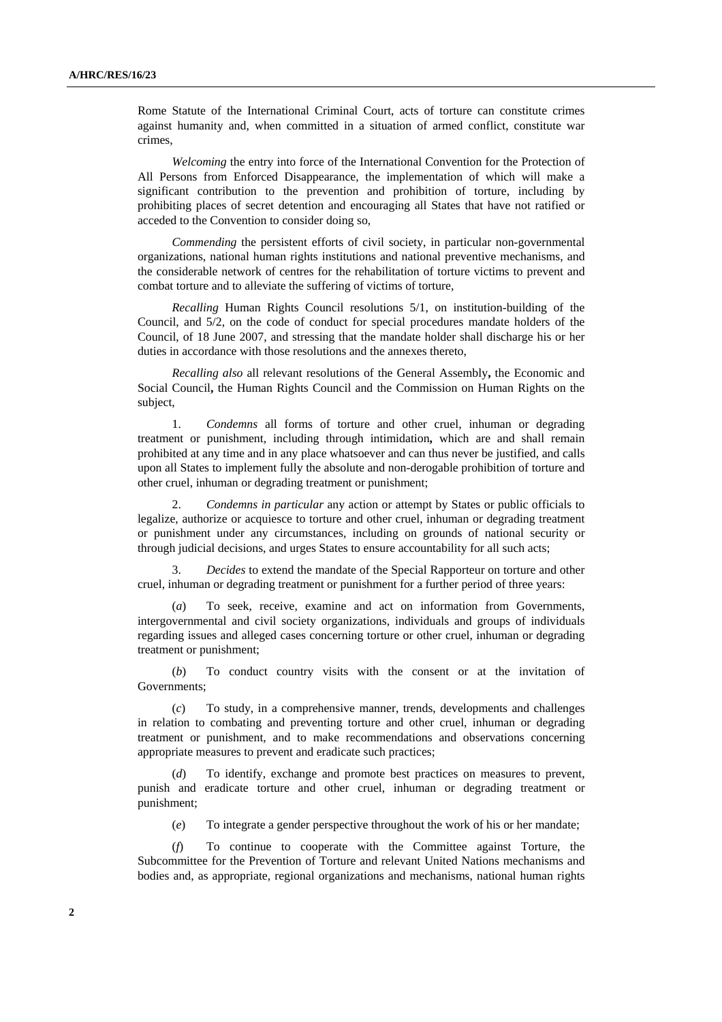Rome Statute of the International Criminal Court, acts of torture can constitute crimes against humanity and, when committed in a situation of armed conflict, constitute war crimes,

*Welcoming* the entry into force of the International Convention for the Protection of All Persons from Enforced Disappearance, the implementation of which will make a significant contribution to the prevention and prohibition of torture, including by prohibiting places of secret detention and encouraging all States that have not ratified or acceded to the Convention to consider doing so,

*Commending* the persistent efforts of civil society, in particular non-governmental organizations, national human rights institutions and national preventive mechanisms, and the considerable network of centres for the rehabilitation of torture victims to prevent and combat torture and to alleviate the suffering of victims of torture,

*Recalling* Human Rights Council resolutions 5/1, on institution-building of the Council, and 5/2, on the code of conduct for special procedures mandate holders of the Council, of 18 June 2007, and stressing that the mandate holder shall discharge his or her duties in accordance with those resolutions and the annexes thereto,

*Recalling also* all relevant resolutions of the General Assembly**,** the Economic and Social Council**,** the Human Rights Council and the Commission on Human Rights on the subject,

 1. *Condemns* all forms of torture and other cruel, inhuman or degrading treatment or punishment, including through intimidation**,** which are and shall remain prohibited at any time and in any place whatsoever and can thus never be justified, and calls upon all States to implement fully the absolute and non-derogable prohibition of torture and other cruel, inhuman or degrading treatment or punishment;

 2. *Condemns in particular* any action or attempt by States or public officials to legalize, authorize or acquiesce to torture and other cruel, inhuman or degrading treatment or punishment under any circumstances, including on grounds of national security or through judicial decisions, and urges States to ensure accountability for all such acts;

3. *Decides* to extend the mandate of the Special Rapporteur on torture and other cruel, inhuman or degrading treatment or punishment for a further period of three years:

 (*a*) To seek, receive, examine and act on information from Governments, intergovernmental and civil society organizations, individuals and groups of individuals regarding issues and alleged cases concerning torture or other cruel, inhuman or degrading treatment or punishment;

 (*b*) To conduct country visits with the consent or at the invitation of Governments;

 (*c*) To study, in a comprehensive manner, trends, developments and challenges in relation to combating and preventing torture and other cruel, inhuman or degrading treatment or punishment, and to make recommendations and observations concerning appropriate measures to prevent and eradicate such practices;

 (*d*) To identify, exchange and promote best practices on measures to prevent, punish and eradicate torture and other cruel, inhuman or degrading treatment or punishment;

(*e*) To integrate a gender perspective throughout the work of his or her mandate;

 (*f*) To continue to cooperate with the Committee against Torture, the Subcommittee for the Prevention of Torture and relevant United Nations mechanisms and bodies and, as appropriate, regional organizations and mechanisms, national human rights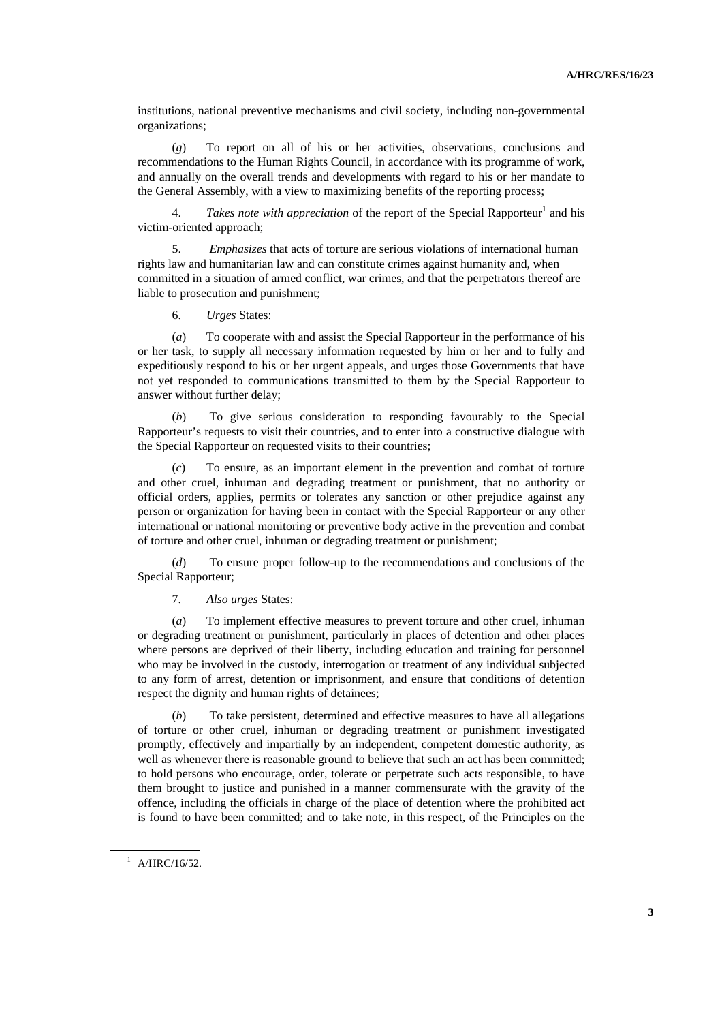institutions, national preventive mechanisms and civil society, including non-governmental organizations;

 (*g*) To report on all of his or her activities, observations, conclusions and recommendations to the Human Rights Council, in accordance with its programme of work, and annually on the overall trends and developments with regard to his or her mandate to the General Assembly, with a view to maximizing benefits of the reporting process;

4. *Takes note with appreciation* of the report of the Special Rapporteur<sup>1</sup> and his victim-oriented approach;

 5. *Emphasizes* that acts of torture are serious violations of international human rights law and humanitarian law and can constitute crimes against humanity and, when committed in a situation of armed conflict, war crimes, and that the perpetrators thereof are liable to prosecution and punishment;

6. *Urges* States:

 (*a*) To cooperate with and assist the Special Rapporteur in the performance of his or her task, to supply all necessary information requested by him or her and to fully and expeditiously respond to his or her urgent appeals, and urges those Governments that have not yet responded to communications transmitted to them by the Special Rapporteur to answer without further delay;

 (*b*) To give serious consideration to responding favourably to the Special Rapporteur's requests to visit their countries, and to enter into a constructive dialogue with the Special Rapporteur on requested visits to their countries;

 (*c*) To ensure, as an important element in the prevention and combat of torture and other cruel, inhuman and degrading treatment or punishment, that no authority or official orders, applies, permits or tolerates any sanction or other prejudice against any person or organization for having been in contact with the Special Rapporteur or any other international or national monitoring or preventive body active in the prevention and combat of torture and other cruel, inhuman or degrading treatment or punishment;

 (*d*) To ensure proper follow-up to the recommendations and conclusions of the Special Rapporteur;

7. *Also urges* States:

 (*a*) To implement effective measures to prevent torture and other cruel, inhuman or degrading treatment or punishment, particularly in places of detention and other places where persons are deprived of their liberty, including education and training for personnel who may be involved in the custody, interrogation or treatment of any individual subjected to any form of arrest, detention or imprisonment, and ensure that conditions of detention respect the dignity and human rights of detainees;

 (*b*) To take persistent, determined and effective measures to have all allegations of torture or other cruel, inhuman or degrading treatment or punishment investigated promptly, effectively and impartially by an independent, competent domestic authority, as well as whenever there is reasonable ground to believe that such an act has been committed; to hold persons who encourage, order, tolerate or perpetrate such acts responsible, to have them brought to justice and punished in a manner commensurate with the gravity of the offence, including the officials in charge of the place of detention where the prohibited act is found to have been committed; and to take note, in this respect, of the Principles on the

 $^1$  A/HRC/16/52.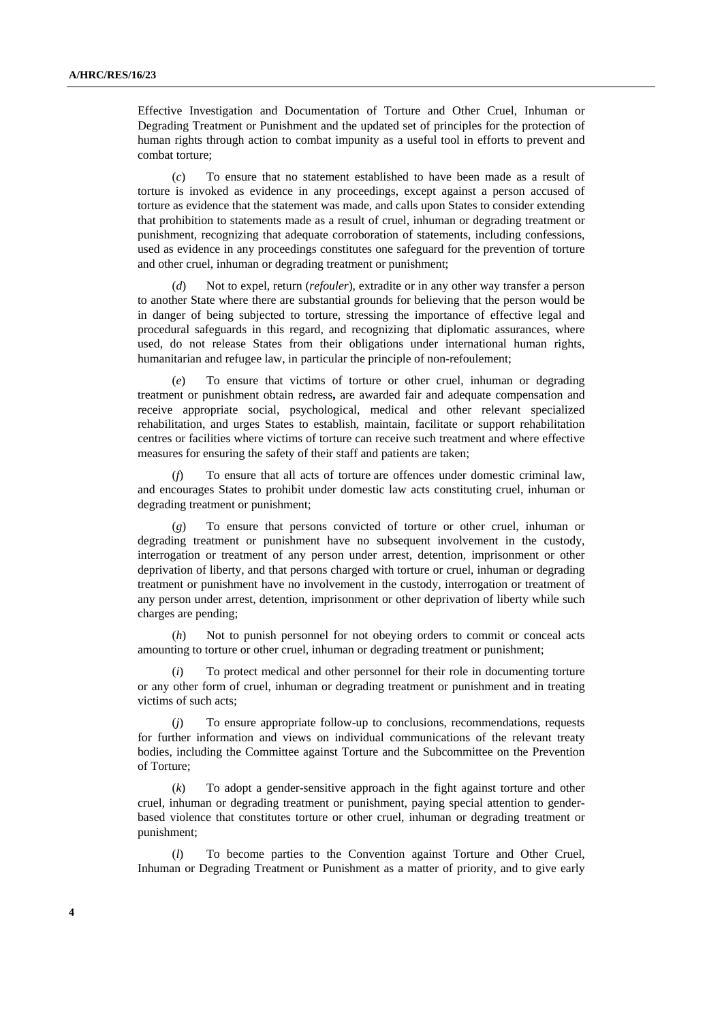Effective Investigation and Documentation of Torture and Other Cruel, Inhuman or Degrading Treatment or Punishment and the updated set of principles for the protection of human rights through action to combat impunity as a useful tool in efforts to prevent and combat torture;

 (*c*) To ensure that no statement established to have been made as a result of torture is invoked as evidence in any proceedings, except against a person accused of torture as evidence that the statement was made, and calls upon States to consider extending that prohibition to statements made as a result of cruel, inhuman or degrading treatment or punishment, recognizing that adequate corroboration of statements, including confessions, used as evidence in any proceedings constitutes one safeguard for the prevention of torture and other cruel, inhuman or degrading treatment or punishment;

Not to expel, return (*refouler*), extradite or in any other way transfer a person to another State where there are substantial grounds for believing that the person would be in danger of being subjected to torture, stressing the importance of effective legal and procedural safeguards in this regard, and recognizing that diplomatic assurances, where used, do not release States from their obligations under international human rights, humanitarian and refugee law, in particular the principle of non-refoulement;

 (*e*) To ensure that victims of torture or other cruel, inhuman or degrading treatment or punishment obtain redress**,** are awarded fair and adequate compensation and receive appropriate social, psychological, medical and other relevant specialized rehabilitation, and urges States to establish, maintain, facilitate or support rehabilitation centres or facilities where victims of torture can receive such treatment and where effective measures for ensuring the safety of their staff and patients are taken;

 (*f*) To ensure that all acts of torture are offences under domestic criminal law, and encourages States to prohibit under domestic law acts constituting cruel, inhuman or degrading treatment or punishment;

(*g*) To ensure that persons convicted of torture or other cruel, inhuman or degrading treatment or punishment have no subsequent involvement in the custody, interrogation or treatment of any person under arrest, detention, imprisonment or other deprivation of liberty, and that persons charged with torture or cruel, inhuman or degrading treatment or punishment have no involvement in the custody, interrogation or treatment of any person under arrest, detention, imprisonment or other deprivation of liberty while such charges are pending;

 (*h*) Not to punish personnel for not obeying orders to commit or conceal acts amounting to torture or other cruel, inhuman or degrading treatment or punishment;

To protect medical and other personnel for their role in documenting torture or any other form of cruel, inhuman or degrading treatment or punishment and in treating victims of such acts;

 (*j*) To ensure appropriate follow-up to conclusions, recommendations, requests for further information and views on individual communications of the relevant treaty bodies, including the Committee against Torture and the Subcommittee on the Prevention of Torture;

 (*k*) To adopt a gender-sensitive approach in the fight against torture and other cruel, inhuman or degrading treatment or punishment, paying special attention to genderbased violence that constitutes torture or other cruel, inhuman or degrading treatment or punishment;

 (*l*) To become parties to the Convention against Torture and Other Cruel, Inhuman or Degrading Treatment or Punishment as a matter of priority, and to give early